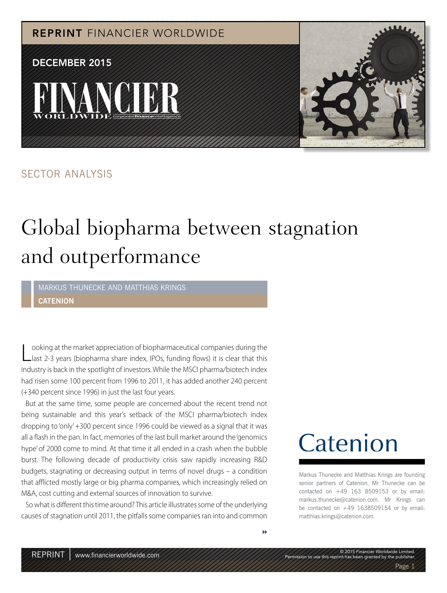

#### SECTOR ANALYSIS

### Global biopharma between stagnation and outperformance

MARKUS THUNECKE AND MATTHIAS KRINGS **CATENION**

Looking at the market appreciation of biopharmaceutical companies during the<br>Llast 2-3 years (biopharma share index, IPOs, funding flows) it is clear that this ooking at the market appreciation of biopharmaceutical companies during the industry is back in the spotlight of investors. While the MSCI pharma/biotech index had risen some 100 percent from 1996 to 2011, it has added another 240 percent (+340 percent since 1996) in just the last four years.

But at the same time, some people are concerned about the recent trend not being sustainable and this year's setback of the MSCI pharma/biotech index dropping to 'only' +300 percent since 1996 could be viewed as a signal that it was all a flash in the pan. In fact, memories of the last bull market around the 'genomics hype' of 2000 come to mind. At that time it all ended in a crash when the bubble burst. The following decade of productivity crisis saw rapidly increasing R&D budgets, stagnating or decreasing output in terms of novel drugs – a condition that afflicted mostly large or big pharma companies, which increasingly relied on M&A, cost cutting and external sources of innovation to survive.

So what is different this time around? This article illustrates some of the underlying causes of stagnation until 2011, the pitfalls some companies ran into and common

## Catenion

Markus Thunecke and Matthias Krings are founding senior partners of Catenion. Mr Thunecke can be contacted on +49 163 8509153 or by email: markus.thunecke@catenion.com. Mr Krings can be contacted on  $+49$  1638509154 or by email: matthias.krings@catenion.com.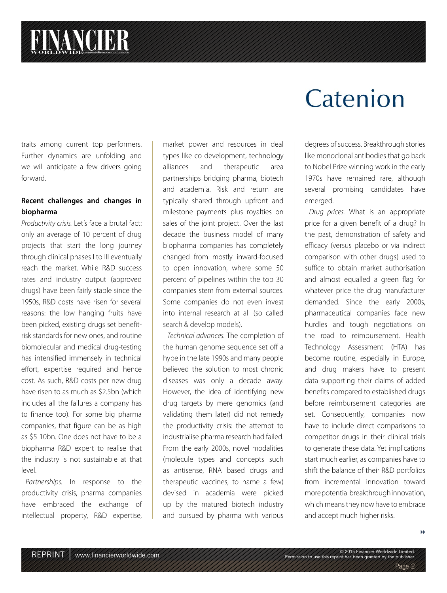# **FINANCIER**

traits among current top performers. Further dynamics are unfolding and we will anticipate a few drivers going forward.

#### **Recent challenges and changes in biopharma**

Productivity crisis. Let's face a brutal fact: only an average of 10 percent of drug projects that start the long journey through clinical phases I to III eventually reach the market. While R&D success rates and industry output (approved drugs) have been fairly stable since the 1950s, R&D costs have risen for several reasons: the low hanging fruits have been picked, existing drugs set benefitrisk standards for new ones, and routine biomolecular and medical drug-testing has intensified immensely in technical effort, expertise required and hence cost. As such, R&D costs per new drug have risen to as much as \$2.5bn (which includes all the failures a company has to finance too). For some big pharma companies, that figure can be as high as \$5-10bn. One does not have to be a biopharma R&D expert to realise that the industry is not sustainable at that level.

Partnerships. In response to the productivity crisis, pharma companies have embraced the exchange of intellectual property, R&D expertise,

market power and resources in deal types like co-development, technology alliances and therapeutic area partnerships bridging pharma, biotech and academia. Risk and return are typically shared through upfront and milestone payments plus royalties on sales of the joint project. Over the last decade the business model of many biopharma companies has completely changed from mostly inward-focused to open innovation, where some 50 percent of pipelines within the top 30 companies stem from external sources. Some companies do not even invest into internal research at all (so called search & develop models).

Technical advances. The completion of the human genome sequence set off a hype in the late 1990s and many people believed the solution to most chronic diseases was only a decade away. However, the idea of identifying new drug targets by mere genomics (and validating them later) did not remedy the productivity crisis: the attempt to industrialise pharma research had failed. From the early 2000s, novel modalities (molecule types and concepts such as antisense, RNA based drugs and therapeutic vaccines, to name a few) devised in academia were picked up by the matured biotech industry and pursued by pharma with various

### Catenion

degrees of success. Breakthrough stories like monoclonal antibodies that go back to Nobel Prize winning work in the early 1970s have remained rare, although several promising candidates have emerged.

Drug prices. What is an appropriate price for a given benefit of a drug? In the past, demonstration of safety and efficacy (versus placebo or via indirect comparison with other drugs) used to suffice to obtain market authorisation and almost equalled a green flag for whatever price the drug manufacturer demanded. Since the early 2000s, pharmaceutical companies face new hurdles and tough negotiations on the road to reimbursement. Health Technology Assessment (HTA) has become routine, especially in Europe, and drug makers have to present data supporting their claims of added benefits compared to established drugs before reimbursement categories are set. Consequently, companies now have to include direct comparisons to competitor drugs in their clinical trials to generate these data. Yet implications start much earlier, as companies have to shift the balance of their R&D portfolios from incremental innovation toward more potential breakthrough innovation, which means they now have to embrace and accept much higher risks.